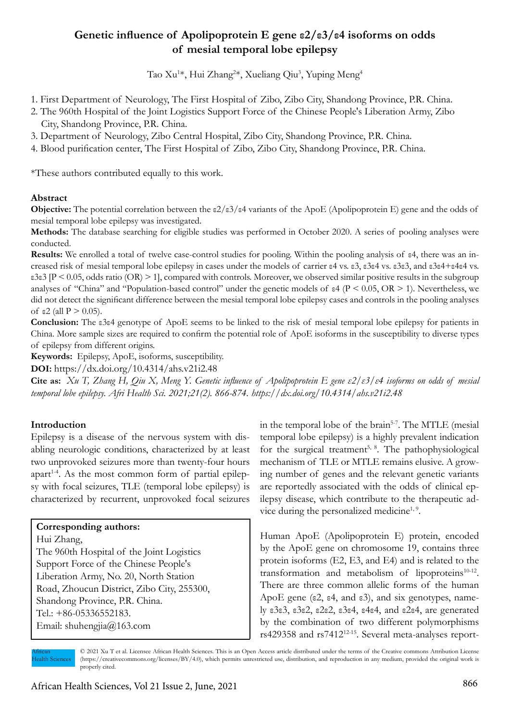# **Genetic influence of Apolipoprotein E gene ε2/ε3/ε4 isoforms on odds of mesial temporal lobe epilepsy**

Tao Xu<sup>1</sup>\*, Hui Zhang<sup>2</sup>\*, Xueliang Qiu<sup>3</sup>, Yuping Meng<sup>4</sup>

- 1. First Department of Neurology, The First Hospital of Zibo, Zibo City, Shandong Province, P.R. China.
- 2. The 960th Hospital of the Joint Logistics Support Force of the Chinese People's Liberation Army, Zibo City, Shandong Province, P.R. China.
- 3. Department of Neurology, Zibo Central Hospital, Zibo City, Shandong Province, P.R. China.
- 4. Blood purification center, The First Hospital of Zibo, Zibo City, Shandong Province, P.R. China.

\*These authors contributed equally to this work.

#### **Abstract**

**Objective:** The potential correlation between the ε2/ε3/ε4 variants of the ApoE (Apolipoprotein E) gene and the odds of mesial temporal lobe epilepsy was investigated.

**Methods:** The database searching for eligible studies was performed in October 2020. A series of pooling analyses were conducted.

**Results:** We enrolled a total of twelve case-control studies for pooling. Within the pooling analysis of ε4, there was an increased risk of mesial temporal lobe epilepsy in cases under the models of carrier ε4 vs. ε3, ε3ε4 vs. ε3ε3, and ε3ε4+ε4ε4 vs. ε3ε3 [P < 0.05, odds ratio (OR) > 1], compared with controls. Moreover, we observed similar positive results in the subgroup analyses of "China" and "Population-based control" under the genetic models of ε4 (P < 0.05, OR > 1). Nevertheless, we did not detect the significant difference between the mesial temporal lobe epilepsy cases and controls in the pooling analyses of ε2 (all  $P > 0.05$ ).

**Conclusion:** The ε3ε4 genotype of ApoE seems to be linked to the risk of mesial temporal lobe epilepsy for patients in China. More sample sizes are required to confirm the potential role of ApoE isoforms in the susceptibility to diverse types of epilepsy from different origins.

**Keywords:** Epilepsy, ApoE, isoforms, susceptibility.

**DOI:** https://dx.doi.org/10.4314/ahs.v21i2.48

**Cite as:** *Xu T, Zhang H, Qiu X, Meng Y. Genetic influence of Apolipoprotein E gene ε2/ε3/ε4 isoforms on odds of mesial temporal lobe epilepsy. Afri Health Sci. 2021;21(2). 866-874. https://dx.doi.org/10.4314/ahs.v21i2.48*

#### **Introduction**

Epilepsy is a disease of the nervous system with disabling neurologic conditions, characterized by at least two unprovoked seizures more than twenty-four hours apart<sup>14</sup>. As the most common form of partial epilepsy with focal seizures, TLE (temporal lobe epilepsy) is characterized by recurrent, unprovoked focal seizures

#### **Corresponding authors:**

Hui Zhang, The 960th Hospital of the Joint Logistics Support Force of the Chinese People's Liberation Army, No. 20, North Station Road, Zhoucun District, Zibo City, 255300, Shandong Province, P.R. China. Tel.: +86-05336552183. Email: shuhengjia@163.com

in the temporal lobe of the brain<sup>5-7</sup>. The MTLE (mesial temporal lobe epilepsy) is a highly prevalent indication for the surgical treatment<sup>5, 8</sup>. The pathophysiological mechanism of TLE or MTLE remains elusive. A growing number of genes and the relevant genetic variants are reportedly associated with the odds of clinical epilepsy disease, which contribute to the therapeutic advice during the personalized medicine<sup>1, 9</sup>.

Human ApoE (Apolipoprotein E) protein, encoded by the ApoE gene on chromosome 19, contains three protein isoforms (E2, E3, and E4) and is related to the transformation and metabolism of lipoproteins $10-12$ . There are three common allelic forms of the human ApoE gene (ε2, ε4, and ε3), and six genotypes, namely ε3ε3, ε3ε2, ε2ε2, ε3ε4, ε4ε4, and ε2ε4, are generated by the combination of two different polymorphisms rs429358 and rs741212-15. Several meta-analyses report-

African Health Sciences

<sup>© 2021</sup> Xu T et al. Licensee African Health Sciences. This is an Open Access article distributed under the terms of the Creative commons Attribution License (https://creativecommons.org/licenses/BY/4.0), which permits unrestricted use, distribution, and reproduction in any medium, provided the original work is properly cited.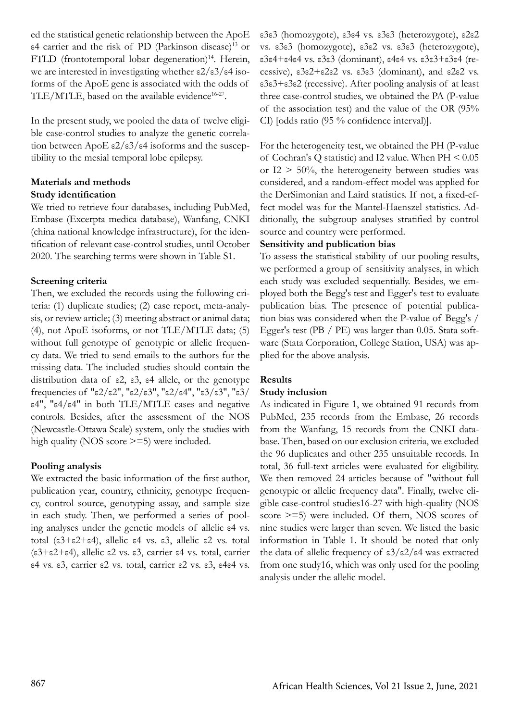ed the statistical genetic relationship between the ApoE ε4 carrier and the risk of PD (Parkinson disease)13 or FTLD (frontotemporal lobar degeneration)<sup>14</sup>. Herein, we are interested in investigating whether ε2/ε3/ε4 isoforms of the ApoE gene is associated with the odds of TLE/MTLE, based on the available evidence<sup>16-27</sup>.

In the present study, we pooled the data of twelve eligible case-control studies to analyze the genetic correlation between ApoE ε2/ε3/ε4 isoforms and the susceptibility to the mesial temporal lobe epilepsy.

# **Materials and methods Study identification**

We tried to retrieve four databases, including PubMed, Embase (Excerpta medica database), Wanfang, CNKI (china national knowledge infrastructure), for the identification of relevant case-control studies, until October 2020. The searching terms were shown in Table S1.

# **Screening criteria**

Then, we excluded the records using the following criteria: (1) duplicate studies; (2) case report, meta-analysis, or review article; (3) meeting abstract or animal data; (4), not ApoE isoforms, or not TLE/MTLE data; (5) without full genotype of genotypic or allelic frequency data. We tried to send emails to the authors for the missing data. The included studies should contain the distribution data of ε2, ε3, ε4 allele, or the genotype frequencies of "ε2/ε2", "ε2/ε3", "ε2/ε4", "ε3/ε3", "ε3/ ε4", "ε4/ε4" in both TLE/MTLE cases and negative controls. Besides, after the assessment of the NOS (Newcastle-Ottawa Scale) system, only the studies with high quality (NOS score  $\geq$ =5) were included.

# **Pooling analysis**

We extracted the basic information of the first author, publication year, country, ethnicity, genotype frequency, control source, genotyping assay, and sample size in each study. Then, we performed a series of pooling analyses under the genetic models of allelic ε4 vs. total (ε3+ε2+ε4), allelic ε4 vs. ε3, allelic ε2 vs. total (ε3+ε2+ε4), allelic ε2 vs. ε3, carrier ε4 vs. total, carrier ε4 vs. ε3, carrier ε2 vs. total, carrier ε2 vs. ε3, ε4ε4 vs. ε3ε3 (homozygote), ε3ε4 vs. ε3ε3 (heterozygote), ε2ε2 vs. ε3ε3 (homozygote), ε3ε2 vs. ε3ε3 (heterozygote), ε3ε4+ε4ε4 vs. ε3ε3 (dominant), ε4ε4 vs. ε3ε3+ε3ε4 (recessive), ε3ε2+ε2ε2 vs. ε3ε3 (dominant), and ε2ε2 vs. ε3ε3+ε3ε2 (recessive). After pooling analysis of at least three case-control studies, we obtained the PA (P-value of the association test) and the value of the OR (95% CI) [odds ratio (95 % confidence interval)].

For the heterogeneity test, we obtained the PH (P-value of Cochran's Q statistic) and I2 value. When PH < 0.05 or  $I2 > 50\%$ , the heterogeneity between studies was considered, and a random-effect model was applied for the DerSimonian and Laird statistics. If not, a fixed-effect model was for the Mantel-Haenszel statistics. Additionally, the subgroup analyses stratified by control source and country were performed.

# **Sensitivity and publication bias**

To assess the statistical stability of our pooling results, we performed a group of sensitivity analyses, in which each study was excluded sequentially. Besides, we employed both the Begg's test and Egger's test to evaluate publication bias. The presence of potential publication bias was considered when the P-value of Begg's / Egger's test (PB / PE) was larger than 0.05. Stata software (Stata Corporation, College Station, USA) was applied for the above analysis.

# **Results**

## **Study inclusion**

As indicated in Figure 1, we obtained 91 records from PubMed, 235 records from the Embase, 26 records from the Wanfang, 15 records from the CNKI database. Then, based on our exclusion criteria, we excluded the 96 duplicates and other 235 unsuitable records. In total, 36 full-text articles were evaluated for eligibility. We then removed 24 articles because of "without full genotypic or allelic frequency data". Finally, twelve eligible case-control studies16-27 with high-quality (NOS score >=5) were included. Of them, NOS scores of nine studies were larger than seven. We listed the basic information in Table 1. It should be noted that only the data of allelic frequency of ε3/ε2/ε4 was extracted from one study16, which was only used for the pooling analysis under the allelic model.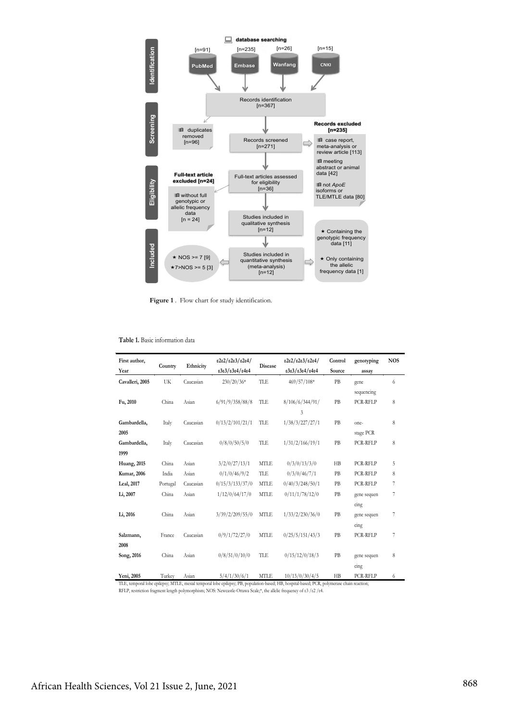

Figure 1 . Flow chart for study identification.

**Table 1.** Basic information data

| First author,<br>Year | Country  | Ethnicity | e2e2/e2e3/e2e4/<br>е3е3/е3е4/е4е4 | <b>Disease</b> | e2e2/e2e3/e2e4/<br>е3е3/е3е4/е4е4                                                                                                                             | Control<br>Source | genotyping<br>assay | <b>NOS</b> |
|-----------------------|----------|-----------|-----------------------------------|----------------|---------------------------------------------------------------------------------------------------------------------------------------------------------------|-------------------|---------------------|------------|
| Cavalleri, 2005       | UK       | Caucasian | $230/20/36*$                      | TLE            | 469/57/108*                                                                                                                                                   | PB                | gene                | 6          |
|                       |          |           |                                   |                |                                                                                                                                                               |                   | sequencing          |            |
| Fu, 2010              | China    | Asian     | 6/91/9/358/88/8                   | TLE            | 8/106/6/344/91/                                                                                                                                               | PB                | PCR-RFLP            | 8          |
|                       |          |           |                                   |                | 3                                                                                                                                                             |                   |                     |            |
| Gambardella,          | Italy    | Caucasian | 0/13/2/101/21/1                   | TLE            | 1/38/3/227/27/1                                                                                                                                               | PB                | one-                | 8          |
| 2005                  |          |           |                                   |                |                                                                                                                                                               |                   | stage PCR           |            |
| Gambardella,          | Italy    | Caucasian | 0/8/0/50/5/0                      | TLE            | 1/31/2/166/19/1                                                                                                                                               | PB                | PCR-RFLP            | 8          |
| 1999                  |          |           |                                   |                |                                                                                                                                                               |                   |                     |            |
| <b>Huang</b> , 2015   | China    | Asian     | 3/2/0/27/13/1                     | <b>MTLE</b>    | 0/3/0/13/3/0                                                                                                                                                  | H B               | PCR-RFLP            | 5          |
|                       |          |           |                                   |                |                                                                                                                                                               |                   |                     |            |
| <b>Kumar</b> , 2006   | India    | Asian     | 0/1/0/46/9/2                      | TLE            | 0/3/0/46/7/1                                                                                                                                                  | PB                | PCR-RFLP            | 8          |
| Leal, 2017            | Portugal | Caucasian | 0/15/3/133/37/0                   | <b>MTLE</b>    | 0/40/3/248/50/1                                                                                                                                               | PB                | PCR-RFLP            | 7          |
| Li, 2007              | China    | Asian     | 1/12/0/64/17/0                    | <b>MTLE</b>    | 0/11/1/78/12/0                                                                                                                                                | PB                | gene sequen         | 7          |
|                       |          |           |                                   |                |                                                                                                                                                               |                   | cing                |            |
| Li, 2016              | China    | Asian     | 3/39/2/209/55/0                   | <b>MTLE</b>    | 1/33/2/230/36/0                                                                                                                                               | PB                | gene sequen         | 7          |
|                       |          |           |                                   |                |                                                                                                                                                               |                   | cing                |            |
| Salzmann,             | France   | Caucasian | 0/9/1/72/27/0                     | <b>MTLE</b>    | 0/25/5/151/43/3                                                                                                                                               | PB                | PCR-RFLP            | 7          |
| 2008                  |          |           |                                   |                |                                                                                                                                                               |                   |                     |            |
|                       |          |           |                                   |                |                                                                                                                                                               |                   |                     |            |
| Song, 2016            | China    | Asian     | 0/8/51/0/10/0                     | TLE            | 0/15/12/0/18/3                                                                                                                                                | PB                | gene sequen         | 8          |
|                       |          |           |                                   |                |                                                                                                                                                               |                   | cing                |            |
| Yeni, 2005            | Turkey   | Asian     | 5/4/1/30/6/1                      | <b>MTLE</b>    | 10/13/0/30/4/5<br>TLE, temporal lobe epilepsy; MTLE, mesial temporal lobe epilepsy; PB, population-based; HB, hospital-based; PCR, polymerase chain reaction; | H B               | PCR-RFLP            | 6          |

RFLP, restriction fragment length polymorphism; NOS: Newcastle-Ottawa Scale;\*, the allelic frequency of ε3 /ε2 /ε4.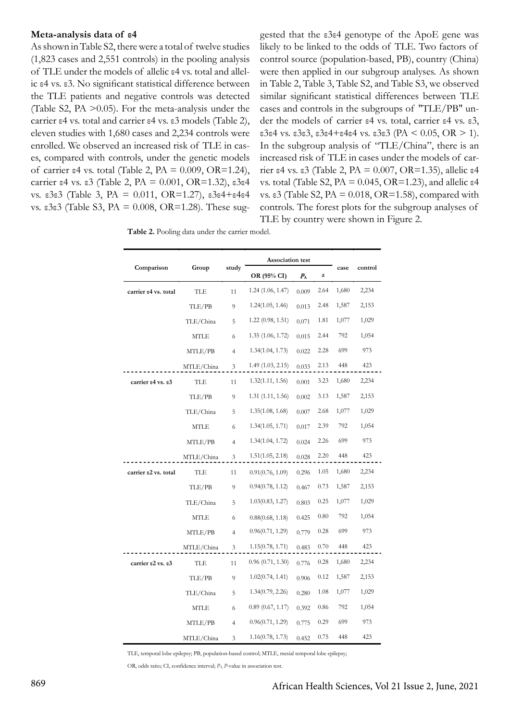#### **Meta-analysis data of ε4**

As shown in Table S2, there were a total of twelve studies (1,823 cases and 2,551 controls) in the pooling analysis of TLE under the models of allelic ε4 vs. total and allelic ε4 vs. ε3. No significant statistical difference between the TLE patients and negative controls was detected (Table S2, PA >0.05). For the meta-analysis under the carrier ε4 vs. total and carrier ε4 vs. ε3 models (Table 2), eleven studies with 1,680 cases and 2,234 controls were enrolled. We observed an increased risk of TLE in cases, compared with controls, under the genetic models of carrier  $\varepsilon$ 4 vs. total (Table 2, PA = 0.009, OR=1.24), carrier ε4 vs. ε3 (Table 2, PA = 0.001, OR=1.32), ε3ε4 vs. ε3ε3 (Table 3, PA = 0.011, OR=1.27), ε3ε4+ε4ε4 vs. ε3ε3 (Table S3, PA = 0.008, OR=1.28). These sug-

gested that the ε3ε4 genotype of the ApoE gene was likely to be linked to the odds of TLE. Two factors of control source (population-based, PB), country (China) were then applied in our subgroup analyses. As shown in Table 2, Table 3, Table S2, and Table S3, we observed similar significant statistical differences between TLE cases and controls in the subgroups of "TLE/PB" under the models of carrier ε4 vs. total, carrier ε4 vs. ε3, ε3ε4 vs. ε3ε3, ε3ε4+ε4ε4 vs. ε3ε3 (PA < 0.05, OR > 1). In the subgroup analysis of "TLE/China", there is an increased risk of TLE in cases under the models of carrier ε4 vs. ε3 (Table 2, PA =  $0.007$ , OR=1.35), allelic ε4 vs. total (Table S2, PA =  $0.045$ , OR=1.23), and allelic  $\varepsilon$ 4 vs. ε3 (Table S2, PA =  $0.018$ , OR=1.58), compared with controls. The forest plots for the subgroup analyses of TLE by country were shown in Figure 2.

|                        | Group       | study          | Association test  |             |          |       |         |
|------------------------|-------------|----------------|-------------------|-------------|----------|-------|---------|
| Comparison             |             |                | OR (95% CI)       | $P_{\rm A}$ | $\bf{z}$ | case  | control |
| carrier e4 vs. total   | <b>TLE</b>  | 11             | 1.24(1.06, 1.47)  | 0.009       | 2.64     | 1,680 | 2,234   |
|                        | TLE/PB      | 9              | 1.24(1.05, 1.46)  | 0.013       | 2.48     | 1,587 | 2,153   |
|                        | TLE/China   | 5              | 1.22 (0.98, 1.51) | 0.071       | 1.81     | 1,077 | 1,029   |
|                        | <b>MTLE</b> | 6              | 1.35(1.06, 1.72)  | 0.015       | 2.44     | 792   | 1,054   |
|                        | MTLE/PB     | $\overline{4}$ | 1.34(1.04, 1.73)  | 0.022       | 2.28     | 699   | 973     |
|                        | MTLE/China  | 3              | 1.49 (1.03, 2.15) | 0.033       | 2.13     | 448   | 423     |
| carrier e4 vs. e3      | TLE         | 11             | 1.32(1.11, 1.56)  | 0.001       | 3.23     | 1,680 | 2,234   |
|                        | TLE/PB      | 9              | 1.31(1.11, 1.56)  | 0.002       | 3.13     | 1,587 | 2,153   |
|                        | TLE/China   | 5              | 1.35(1.08, 1.68)  | 0.007       | 2.68     | 1,077 | 1,029   |
|                        | <b>MTLE</b> | 6              | 1.34(1.05, 1.71)  | 0.017       | 2.39     | 792   | 1,054   |
|                        | MTLE/PB     | $\overline{4}$ | 1.34(1.04, 1.72)  | 0.024       | 2.26     | 699   | 973     |
|                        | MTLE/China  | 3              | 1.51(1.05, 2.18)  | 0.028       | 2.20     | 448   | 423     |
| carrier $e2$ vs. total | <b>TLE</b>  | 11             | 0.91(0.76, 1.09)  | 0.296       | 1.05     | 1,680 | 2,234   |
|                        | TLE/PB      | 9              | 0.94(0.78, 1.12)  | 0.467       | 0.73     | 1,587 | 2,153   |
|                        | TLE/China   | 5              | 1.03(0.83, 1.27)  | 0.803       | 0.25     | 1,077 | 1,029   |
|                        | MTLE        | 6              | 0.88(0.68, 1.18)  | 0.425       | 0.80     | 792   | 1,054   |
|                        | MTLE/PB     | $\overline{4}$ | 0.96(0.71, 1.29)  | 0.779       | 0.28     | 699   | 973     |
|                        | MTLE/China  | 3              | 1.15(0.78, 1.71)  | 0.483       | 0.70     | 448   | 423     |
| carrier e2 vs. e3      | TLE         | 11             | 0.96(0.71, 1.30)  | 0.776       | 0.28     | 1,680 | 2,234   |
|                        | TLE/PB      | 9              | 1.02(0.74, 1.41)  | 0.906       | 0.12     | 1,587 | 2,153   |
|                        | TLE/China   | 5              | 1.34(0.79, 2.26)  | 0.280       | 1.08     | 1,077 | 1,029   |
|                        | MTLE        | 6              | 0.89(0.67, 1.17)  | 0.392       | 0.86     | 792   | 1,054   |
|                        | MTLE/PB     | 4              | 0.96(0.71, 1.29)  | 0.775       | 0.29     | 699   | 973     |
|                        | MTLE/China  | 3              | 1.16(0.78, 1.73)  | 0.452       | 0.75     | 448   | 423     |

TLE, temporal lobe epilepsy; PB, population-based control; MTLE, mesial temporal lobe epilepsy;

OR, odds ratio; CI, confidence interval; *P*A, *P*-value in association test.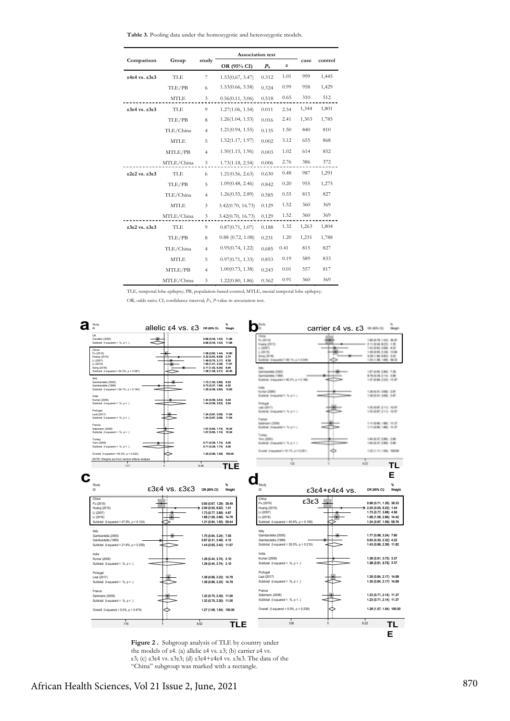**Table 3.** Pooling data under the homozygotic and heterozygotic models.

|               | Group       | study          | <b>Association</b> test |             |      |       |         |
|---------------|-------------|----------------|-------------------------|-------------|------|-------|---------|
| Comparison    |             |                | OR (95% CI)             | $P_{\rm A}$ | z    | case  | control |
| e4e4 vs. e3e3 | <b>TLE</b>  | $\overline{7}$ | 1.53(0.67, 3.47)        | 0.312       | 1.01 | 999   | 1,445   |
|               | TLE/PB      | 6              | 1.53(0.66, 3.58)        | 0.324       | 0.99 | 958   | 1,429   |
|               | <b>MTLE</b> | 3              | 0.56(0.11, 3.06)        | 0.518       | 0.65 | 310   | 512     |
| e3e4 vs. e3e3 | <b>TLE</b>  | 9              | 1.27(1.06, 1.54)        | 0.011       | 2.54 | 1,344 | 1,801   |
|               | TLE/PB      | 8              | 1.26(1.04, 1.53)        | 0.016       | 2.41 | 1,303 | 1,785   |
|               | TLE/China   | $\overline{4}$ | 1.21(0.94, 1.55)        | 0.135       | 1.50 | 840   | 810     |
|               | <b>MTLE</b> | 5              | 1.52(1.17, 1.97)        | 0.002       | 3.12 | 655   | 868     |
|               | MTLE/PB     | $\overline{4}$ | 1.50(1.15, 1.96)        | 0.003       | 1.02 | 614   | 852     |
|               | MTLE/China  | 3              | 1.73(1.18, 2.54)        | 0.006       | 2.76 | 386   | 372     |
| e2e2 vs. e3e3 | TLE         | 6              | 1.21(0.56, 2.63)        | 0.630       | 0.48 | 987   | 1,291   |
|               | TLE/PB      | 5              | 1.09(0.48, 2.46)        | 0.842       | 0.20 | 955   | 1,275   |
|               | TLE/China   | $\overline{4}$ | 1.26(0.55, 2.89)        | 0.585       | 0.55 | 815   | 827     |
|               | <b>MTLE</b> | 3              | 3.42(0.70, 16.73)       | 0.129       | 1.52 | 360   | 369     |
|               | MTLE/China  | 3              | 3.42(0.70, 16.73)       | 0.129       | 1.52 | 360   | 369     |
| e3e2 vs. e3e3 | <b>TLE</b>  | 9              | 0.87(0.71, 1.07)        | 0.188       | 1.32 | 1,263 | 1,804   |
|               | TLE/PB      | 8              | 0.88(0.72, 1.08)        | 0.231       | 1.20 | 1,231 | 1,788   |
|               | TLE/China   | $\overline{4}$ | 0.95(0.74, 1.22)        | 0.685       | 0.41 | 815   | 827     |
|               | <b>MTLE</b> | 5              | 0.97(0.71, 1.33)        | 0.853       | 0.19 | 589   | 833     |
|               | MTLE/PB     | $\overline{4}$ | 1.00(0.73, 1.38)        | 0.243       | 0.01 | 557   | 817     |
|               | MTLE/China  | 3              | 1.22(0.80, 1.86)        | 0.362       | 0.91 | 360   | 369     |

TLE, temporal lobe epilepsy; PB, population-based control; MTLE, mesial temporal lobe epilepsy;

OR, odds ratio; CI, confidence interval;  $P_A$ , *P*-value in association test.



**Figure 2.** Subgroup analysis of TLE by country under the models of  $\varepsilon$ 4. (a) allelic  $\varepsilon$ 4 vs.  $\varepsilon$ 3; (b) carrier  $\varepsilon$ 4 vs. the models of ε4. (a) allelic ε4 vs. ε3; (b) carrier ε4 vs. ε3; (c) ε3ε4 vs. ε3ε3; (d) ε3ε4+ε4ε4 vs. ε3ε3. The data of the "China" subgroup was marked with a rectangle.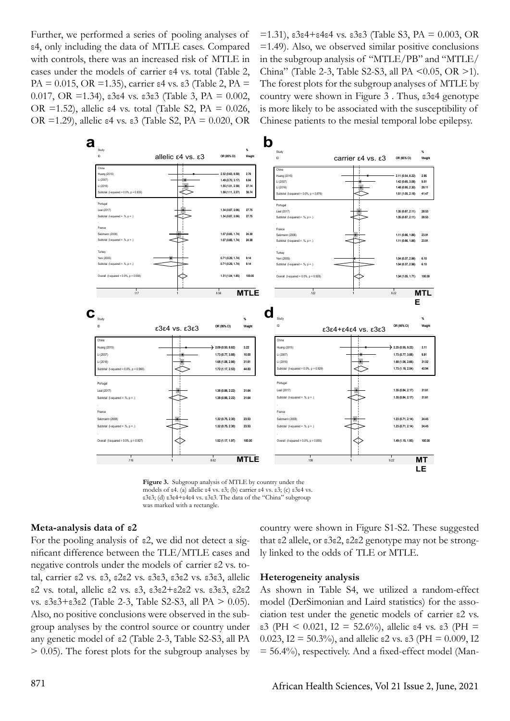Further, we performed a series of pooling analyses of ε4, only including the data of MTLE cases. Compared with controls, there was an increased risk of MTLE in cases under the models of carrier ε4 vs. total (Table 2, PA = 0.015, OR = 1.35), carrier  $\varepsilon$ 4 vs.  $\varepsilon$ 3 (Table 2, PA = 0.017, OR =1.34), ε3ε4 vs. ε3ε3 (Table 3, PA = 0.002, OR =1.52), allelic  $\varepsilon$ 4 vs. total (Table S2, PA = 0.026, OR =1.29), allelic ε4 vs. ε3 (Table S2, PA = 0.020, OR =1.31), ε3ε4+ε4ε4 vs. ε3ε3 (Table S3, PA = 0.003, OR =1.49). Also, we observed similar positive conclusions in the subgroup analysis of "MTLE/PB" and "MTLE/ China" (Table 2-3, Table S2-S3, all PA <0.05, OR >1). The forest plots for the subgroup analyses of MTLE by country were shown in Figure 3 . Thus, ε3ε4 genotype is more likely to be associated with the susceptibility of Chinese patients to the mesial temporal lobe epilepsy.



**Figure 3.** Subgroup analysis of MTLE by country under the models of ε4. (a) allelic ε4 vs. ε3; (b) carrier ε4 vs. ε3; (c) ε3ε4 vs. ε3ε3; (d) ε3ε4+ε4ε4 vs. ε3ε3. The data of the "China" subgroup was marked with a rectangle. **Figure** 

#### **Meta-analysis data of ε2**

For the pooling analysis of ε2, we did not detect a significant difference between the TLE/MTLE cases and negative controls under the models of carrier ε2 vs. total, carrier ε2 vs. ε3, ε2ε2 vs. ε3ε3, ε3ε2 vs. ε3ε3, allelic ε2 vs. total, allelic ε2 vs. ε3, ε3ε2+ε2ε2 vs. ε3ε3, ε2ε2 vs. ε3ε3+ε3ε2 (Table 2-3, Table S2-S3, all PA > 0.05). Also, no positive conclusions were observed in the subgroup analyses by the control source or country under any genetic model of ε2 (Table 2-3, Table S2-S3, all PA > 0.05). The forest plots for the subgroup analyses by

country were shown in Figure S1-S2. These suggested that ε2 allele, or ε3ε2, ε2ε2 genotype may not be strongly linked to the odds of TLE or MTLE.

#### **Heterogeneity analysis**

As shown in Table S4, we utilized a random-effect model (DerSimonian and Laird statistics) for the association test under the genetic models of carrier ε2 vs. ε3 (PH < 0.021, I2 = 52.6%), allelic ε4 vs. ε3 (PH = 0.023, I2 = 50.3%), and allelic  $\epsilon$ 2 vs.  $\epsilon$ 3 (PH = 0.009, I2  $= 56.4\%$ ), respectively. And a fixed-effect model (Man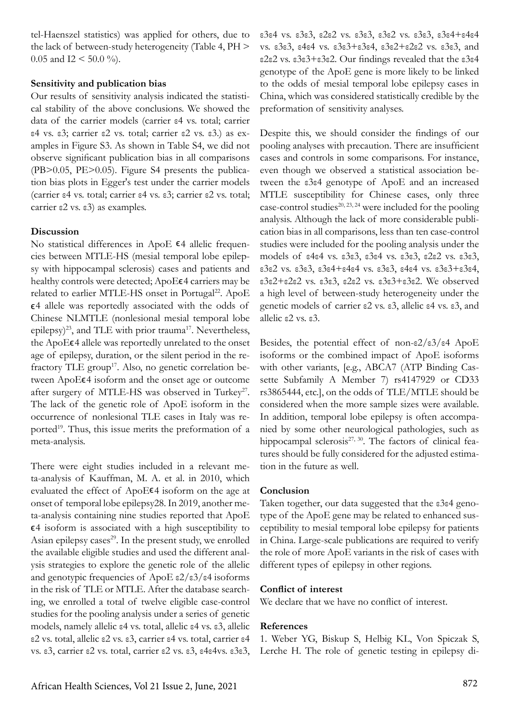tel-Haenszel statistics) was applied for others, due to the lack of between-study heterogeneity (Table 4, PH > 0.05 and I2 < 50.0 %).

## **Sensitivity and publication bias**

Our results of sensitivity analysis indicated the statistical stability of the above conclusions. We showed the data of the carrier models (carrier ε4 vs. total; carrier ε4 vs. ε3; carrier ε2 vs. total; carrier ε2 vs. ε3.) as examples in Figure S3. As shown in Table S4, we did not observe significant publication bias in all comparisons (PB>0.05, PE>0.05). Figure S4 presents the publication bias plots in Egger's test under the carrier models (carrier ε4 vs. total; carrier ε4 vs. ε3; carrier ε2 vs. total; carrier ε2 vs. ε3) as examples.

# **Discussion**

No statistical differences in ApoE  $\epsilon$ 4 allelic frequencies between MTLE-HS (mesial temporal lobe epilepsy with hippocampal sclerosis) cases and patients and healthy controls were detected; ApoE $\epsilon$ 4 carriers may be related to earlier MTLE-HS onset in Portugal<sup>22</sup>. ApoE ϵ4 allele was reportedly associated with the odds of Chinese NLMTLE (nonlesional mesial temporal lobe epilepsy)<sup>23</sup>, and TLE with prior trauma<sup>17</sup>. Nevertheless, the ApoE€4 allele was reportedly unrelated to the onset age of epilepsy, duration, or the silent period in the refractory TLE group<sup>17</sup>. Also, no genetic correlation between ApoE€4 isoform and the onset age or outcome after surgery of MTLE-HS was observed in Turkey<sup>27</sup>. The lack of the genetic role of ApoE isoform in the occurrence of nonlesional TLE cases in Italy was reported<sup>19</sup>. Thus, this issue merits the preformation of a meta-analysis.

There were eight studies included in a relevant meta-analysis of Kauffman, M. A. et al. in 2010, which evaluated the effect of ApoEϵ4 isoform on the age at onset of temporal lobe epilepsy28. In 2019, another meta-analysis containing nine studies reported that ApoE  $\epsilon$ 4 isoform is associated with a high susceptibility to Asian epilepsy cases $^{29}$ . In the present study, we enrolled the available eligible studies and used the different analysis strategies to explore the genetic role of the allelic and genotypic frequencies of ApoE ε2/ε3/ε4 isoforms in the risk of TLE or MTLE. After the database searching, we enrolled a total of twelve eligible case-control studies for the pooling analysis under a series of genetic models, namely allelic ε4 vs. total, allelic ε4 vs. ε3, allelic ε2 vs. total, allelic ε2 vs. ε3, carrier ε4 vs. total, carrier ε4 vs. ε3, carrier ε2 vs. total, carrier ε2 vs. ε3, ε4ε4vs. ε3ε3,

ε3ε4 vs. ε3ε3, ε2ε2 vs. ε3ε3, ε3ε2 vs. ε3ε3, ε3ε4+ε4ε4 vs. ε3ε3, ε4ε4 vs. ε3ε3+ε3ε4, ε3ε2+ε2ε2 vs. ε3ε3, and ε2ε2 vs. ε3ε3+ε3ε2. Our findings revealed that the ε3ε4 genotype of the ApoE gene is more likely to be linked to the odds of mesial temporal lobe epilepsy cases in China, which was considered statistically credible by the preformation of sensitivity analyses.

Despite this, we should consider the findings of our pooling analyses with precaution. There are insufficient cases and controls in some comparisons. For instance, even though we observed a statistical association between the ε3ε4 genotype of ApoE and an increased MTLE susceptibility for Chinese cases, only three case-control studies<sup>20, 23, 24</sup> were included for the pooling analysis. Although the lack of more considerable publication bias in all comparisons, less than ten case-control studies were included for the pooling analysis under the models of ε4ε4 vs. ε3ε3, ε3ε4 vs. ε3ε3, ε2ε2 vs. ε3ε3, ε3ε2 vs. ε3ε3, ε3ε4+ε4ε4 vs. ε3ε3, ε4ε4 vs. ε3ε3+ε3ε4, ε3ε2+ε2ε2 vs. ε3ε3, ε2ε2 vs. ε3ε3+ε3ε2. We observed a high level of between-study heterogeneity under the genetic models of carrier ε2 vs. ε3, allelic ε4 vs. ε3, and allelic ε2 vs. ε3.

Besides, the potential effect of non- $\epsilon$ 2/ $\epsilon$ 3/ $\epsilon$ 4 ApoE isoforms or the combined impact of ApoE isoforms with other variants, [e.g., ABCA7 (ATP Binding Cassette Subfamily A Member 7) rs4147929 or CD33 rs3865444, etc.], on the odds of TLE/MTLE should be considered when the more sample sizes were available. In addition, temporal lobe epilepsy is often accompanied by some other neurological pathologies, such as hippocampal sclerosis<sup>27, 30</sup>. The factors of clinical features should be fully considered for the adjusted estimation in the future as well.

## **Conclusion**

Taken together, our data suggested that the ε3ε4 genotype of the ApoE gene may be related to enhanced susceptibility to mesial temporal lobe epilepsy for patients in China. Large-scale publications are required to verify the role of more ApoE variants in the risk of cases with different types of epilepsy in other regions.

## **Conflict of interest**

We declare that we have no conflict of interest.

## **References**

1. Weber YG, Biskup S, Helbig KL, Von Spiczak S, Lerche H. The role of genetic testing in epilepsy di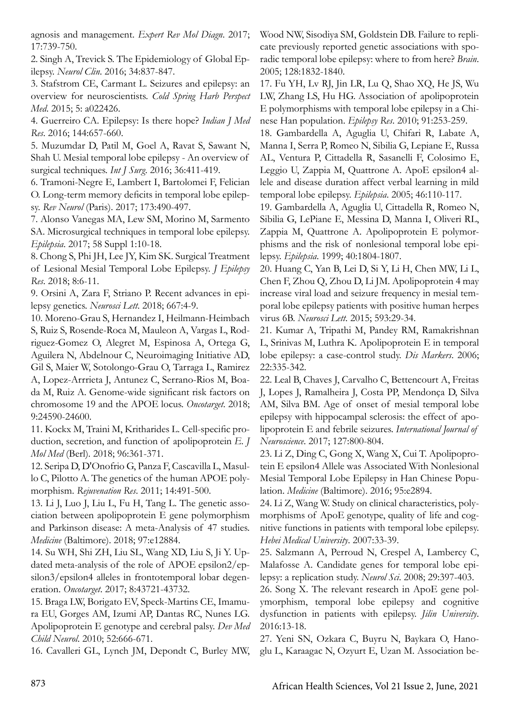agnosis and management. *Expert Rev Mol Diagn*. 2017; 17:739-750.

2. Singh A, Trevick S. The Epidemiology of Global Epilepsy. *Neurol Clin*. 2016; 34:837-847.

3. Stafstrom CE, Carmant L. Seizures and epilepsy: an overview for neuroscientists. *Cold Spring Harb Perspect Med*. 2015; 5: a022426.

4. Guerreiro CA. Epilepsy: Is there hope? *Indian J Med Res*. 2016; 144:657-660.

5. Muzumdar D, Patil M, Goel A, Ravat S, Sawant N, Shah U. Mesial temporal lobe epilepsy - An overview of surgical techniques. *Int J Surg*. 2016; 36:411-419.

6. Tramoni-Negre E, Lambert I, Bartolomei F, Felician O. Long-term memory deficits in temporal lobe epilepsy. *Rev Neurol* (Paris). 2017; 173:490-497.

7. Alonso Vanegas MA, Lew SM, Morino M, Sarmento SA. Microsurgical techniques in temporal lobe epilepsy. *Epilepsia*. 2017; 58 Suppl 1:10-18.

8. Chong S, Phi JH, Lee JY, Kim SK. Surgical Treatment of Lesional Mesial Temporal Lobe Epilepsy. *J Epilepsy Res*. 2018; 8:6-11.

9. Orsini A, Zara F, Striano P. Recent advances in epilepsy genetics. *Neurosci Lett*. 2018; 667:4-9.

10. Moreno-Grau S, Hernandez I, Heilmann-Heimbach S, Ruiz S, Rosende-Roca M, Mauleon A, Vargas L, Rodriguez-Gomez O, Alegret M, Espinosa A, Ortega G, Aguilera N, Abdelnour C, Neuroimaging Initiative AD, Gil S, Maier W, Sotolongo-Grau O, Tarraga L, Ramirez A, Lopez-Arrrieta J, Antunez C, Serrano-Rios M, Boada M, Ruiz A. Genome-wide significant risk factors on chromosome 19 and the APOE locus. *Oncotarget*. 2018; 9:24590-24600.

11. Kockx M, Traini M, Kritharides L. Cell-specific production, secretion, and function of apolipoprotein *E. J Mol Med* (Berl). 2018; 96:361-371.

12. Seripa D, D'Onofrio G, Panza F, Cascavilla L, Masullo C, Pilotto A. The genetics of the human APOE polymorphism. *Rejuvenation Res*. 2011; 14:491-500.

13. Li J, Luo J, Liu L, Fu H, Tang L. The genetic association between apolipoprotein E gene polymorphism and Parkinson disease: A meta-Analysis of 47 studies. *Medicine* (Baltimore). 2018; 97:e12884.

14. Su WH, Shi ZH, Liu SL, Wang XD, Liu S, Ji Y. Updated meta-analysis of the role of APOE epsilon2/epsilon3/epsilon4 alleles in frontotemporal lobar degeneration. *Oncotarget*. 2017; 8:43721-43732.

15. Braga LW, Borigato EV, Speck-Martins CE, Imamura EU, Gorges AM, Izumi AP, Dantas RC, Nunes LG. Apolipoprotein E genotype and cerebral palsy. *Dev Med Child Neurol*. 2010; 52:666-671.

16. Cavalleri GL, Lynch JM, Depondt C, Burley MW,

Wood NW, Sisodiya SM, Goldstein DB. Failure to replicate previously reported genetic associations with sporadic temporal lobe epilepsy: where to from here? *Brain*. 2005; 128:1832-1840.

17. Fu YH, Lv RJ, Jin LR, Lu Q, Shao XQ, He JS, Wu LW, Zhang LS, Hu HG. Association of apolipoprotein E polymorphisms with temporal lobe epilepsy in a Chinese Han population. *Epilepsy Res*. 2010; 91:253-259.

18. Gambardella A, Aguglia U, Chifari R, Labate A, Manna I, Serra P, Romeo N, Sibilia G, Lepiane E, Russa AL, Ventura P, Cittadella R, Sasanelli F, Colosimo E, Leggio U, Zappia M, Quattrone A. ApoE epsilon4 allele and disease duration affect verbal learning in mild temporal lobe epilepsy. *Epilepsia*. 2005; 46:110-117.

19. Gambardella A, Aguglia U, Cittadella R, Romeo N, Sibilia G, LePiane E, Messina D, Manna I, Oliveri RL, Zappia M, Quattrone A. Apolipoprotein E polymorphisms and the risk of nonlesional temporal lobe epilepsy. *Epilepsia*. 1999; 40:1804-1807.

20. Huang C, Yan B, Lei D, Si Y, Li H, Chen MW, Li L, Chen F, Zhou Q, Zhou D, Li JM. Apolipoprotein 4 may increase viral load and seizure frequency in mesial temporal lobe epilepsy patients with positive human herpes virus 6B. *Neurosci Lett*. 2015; 593:29-34.

21. Kumar A, Tripathi M, Pandey RM, Ramakrishnan L, Srinivas M, Luthra K. Apolipoprotein E in temporal lobe epilepsy: a case-control study. *Dis Markers*. 2006; 22:335-342.

22. Leal B, Chaves J, Carvalho C, Bettencourt A, Freitas J, Lopes J, Ramalheira J, Costa PP, Mendonça D, Silva AM, Silva BM. Age of onset of mesial temporal lobe epilepsy with hippocampal sclerosis: the effect of apolipoprotein E and febrile seizures. *International Journal of Neuroscience*. 2017; 127:800-804.

23. Li Z, Ding C, Gong X, Wang X, Cui T. Apolipoprotein E epsilon4 Allele was Associated With Nonlesional Mesial Temporal Lobe Epilepsy in Han Chinese Population. *Medicine* (Baltimore). 2016; 95:e2894.

24. Li Z, Wang W. Study on clinical characteristics, polymorphisms of ApoE genotype, quality of life and cognitive functions in patients with temporal lobe epilepsy. *Hebei Medical University*. 2007:33-39.

25. Salzmann A, Perroud N, Crespel A, Lambercy C, Malafosse A. Candidate genes for temporal lobe epilepsy: a replication study. *Neurol Sci*. 2008; 29:397-403.

26. Song X. The relevant research in ApoE gene polymorphism, temporal lobe epilepsy and cognitive dysfunction in patients with epilepsy. *Jilin University*. 2016:13-18.

27. Yeni SN, Ozkara C, Buyru N, Baykara O, Hanoglu L, Karaagac N, Ozyurt E, Uzan M. Association be